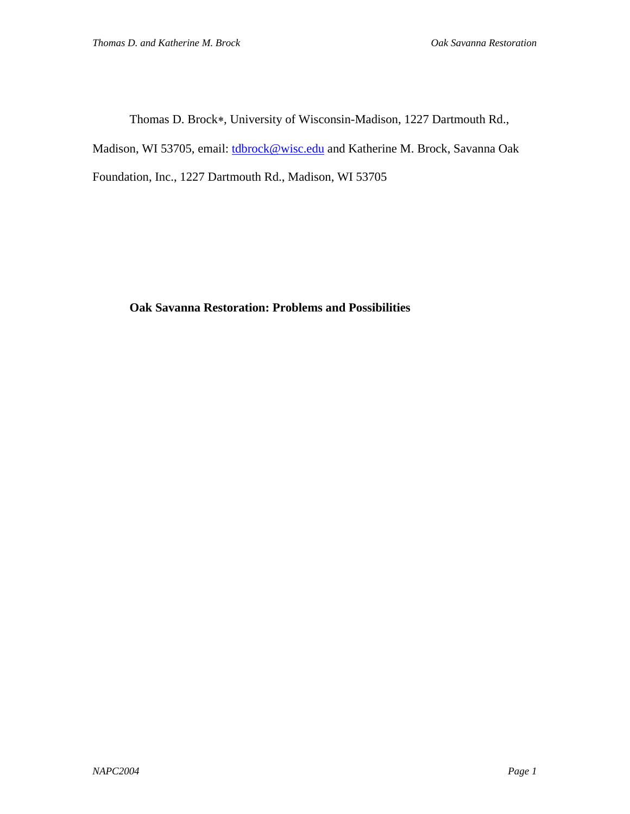Thomas D. Brock∗, University of Wisconsin-Madison, 1227 Dartmouth Rd.,

Madison, WI 53705, email: *tdbrock@wisc.edu* and Katherine M. Brock, Savanna Oak

Foundation, Inc., 1227 Dartmouth Rd., Madison, WI 53705

# **Oak Savanna Restoration: Problems and Possibilities**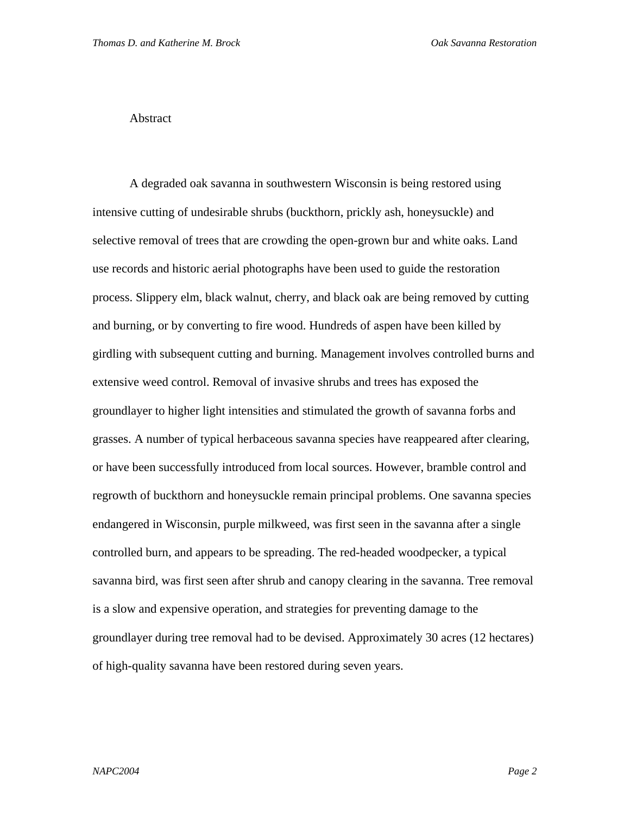## Abstract

A degraded oak savanna in southwestern Wisconsin is being restored using intensive cutting of undesirable shrubs (buckthorn, prickly ash, honeysuckle) and selective removal of trees that are crowding the open-grown bur and white oaks. Land use records and historic aerial photographs have been used to guide the restoration process. Slippery elm, black walnut, cherry, and black oak are being removed by cutting and burning, or by converting to fire wood. Hundreds of aspen have been killed by girdling with subsequent cutting and burning. Management involves controlled burns and extensive weed control. Removal of invasive shrubs and trees has exposed the groundlayer to higher light intensities and stimulated the growth of savanna forbs and grasses. A number of typical herbaceous savanna species have reappeared after clearing, or have been successfully introduced from local sources. However, bramble control and regrowth of buckthorn and honeysuckle remain principal problems. One savanna species endangered in Wisconsin, purple milkweed, was first seen in the savanna after a single controlled burn, and appears to be spreading. The red-headed woodpecker, a typical savanna bird, was first seen after shrub and canopy clearing in the savanna. Tree removal is a slow and expensive operation, and strategies for preventing damage to the groundlayer during tree removal had to be devised. Approximately 30 acres (12 hectares) of high-quality savanna have been restored during seven years.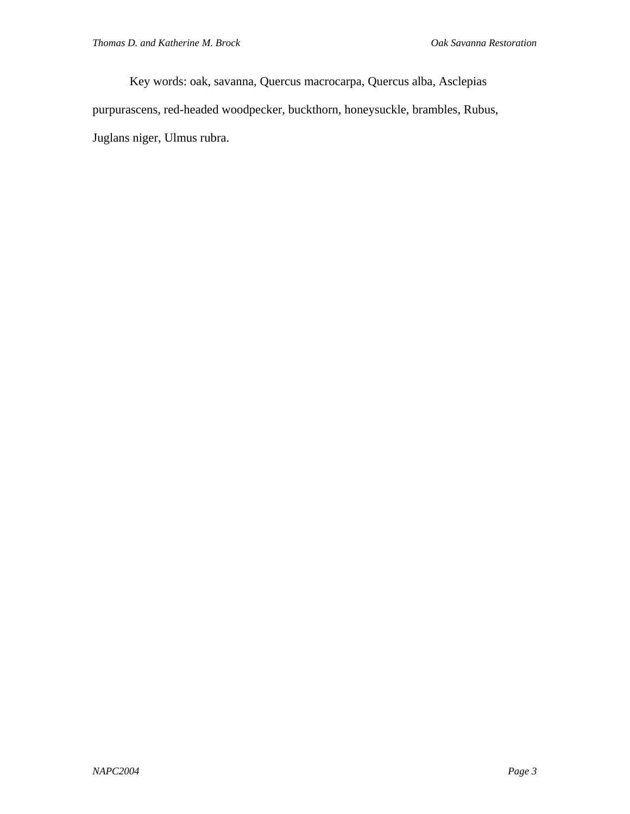Key words: oak, savanna, Quercus macrocarpa, Quercus alba, Asclepias purpurascens, red-headed woodpecker, buckthorn, honeysuckle, brambles, Rubus, Juglans niger, Ulmus rubra.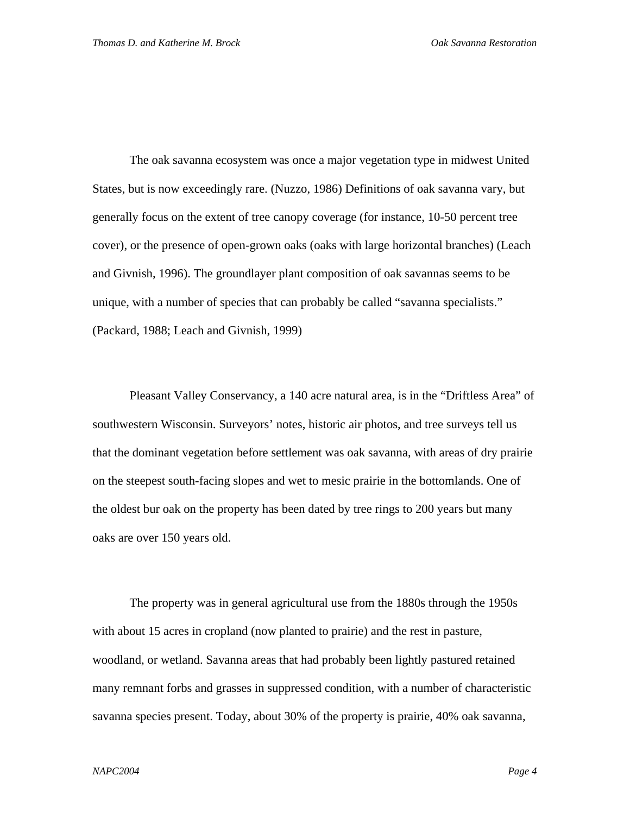The oak savanna ecosystem was once a major vegetation type in midwest United States, but is now exceedingly rare. (Nuzzo, 1986) Definitions of oak savanna vary, but generally focus on the extent of tree canopy coverage (for instance, 10-50 percent tree cover), or the presence of open-grown oaks (oaks with large horizontal branches) (Leach and Givnish, 1996). The groundlayer plant composition of oak savannas seems to be unique, with a number of species that can probably be called "savanna specialists." (Packard, 1988; Leach and Givnish, 1999)

Pleasant Valley Conservancy, a 140 acre natural area, is in the "Driftless Area" of southwestern Wisconsin. Surveyors' notes, historic air photos, and tree surveys tell us that the dominant vegetation before settlement was oak savanna, with areas of dry prairie on the steepest south-facing slopes and wet to mesic prairie in the bottomlands. One of the oldest bur oak on the property has been dated by tree rings to 200 years but many oaks are over 150 years old.

The property was in general agricultural use from the 1880s through the 1950s with about 15 acres in cropland (now planted to prairie) and the rest in pasture, woodland, or wetland. Savanna areas that had probably been lightly pastured retained many remnant forbs and grasses in suppressed condition, with a number of characteristic savanna species present. Today, about 30% of the property is prairie, 40% oak savanna,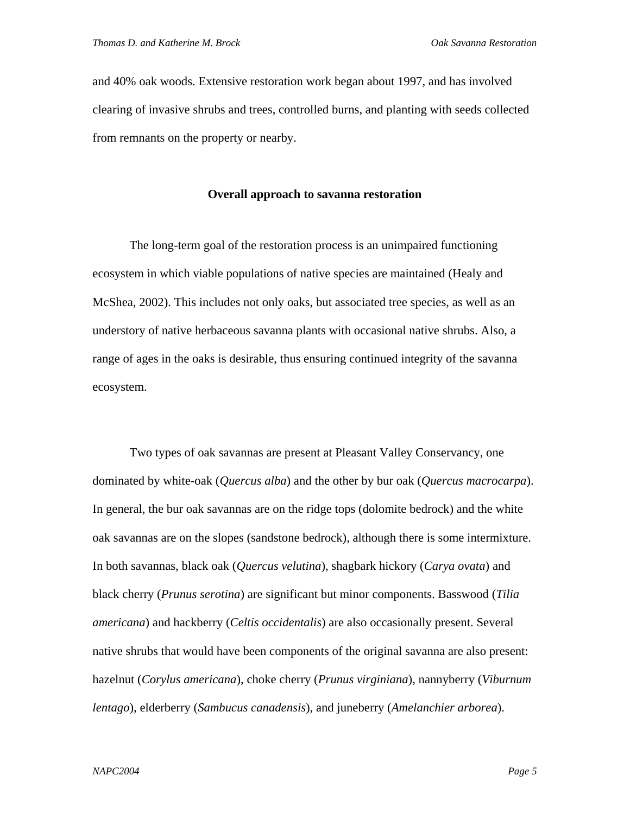and 40% oak woods. Extensive restoration work began about 1997, and has involved clearing of invasive shrubs and trees, controlled burns, and planting with seeds collected from remnants on the property or nearby.

## **Overall approach to savanna restoration**

The long-term goal of the restoration process is an unimpaired functioning ecosystem in which viable populations of native species are maintained (Healy and McShea, 2002). This includes not only oaks, but associated tree species, as well as an understory of native herbaceous savanna plants with occasional native shrubs. Also, a range of ages in the oaks is desirable, thus ensuring continued integrity of the savanna ecosystem.

Two types of oak savannas are present at Pleasant Valley Conservancy, one dominated by white-oak (*Quercus alba*) and the other by bur oak (*Quercus macrocarpa*). In general, the bur oak savannas are on the ridge tops (dolomite bedrock) and the white oak savannas are on the slopes (sandstone bedrock), although there is some intermixture. In both savannas, black oak (*Quercus velutina*), shagbark hickory (*Carya ovata*) and black cherry (*Prunus serotina*) are significant but minor components. Basswood (*Tilia americana*) and hackberry (*Celtis occidentalis*) are also occasionally present. Several native shrubs that would have been components of the original savanna are also present: hazelnut (*Corylus americana*), choke cherry (*Prunus virginiana*), nannyberry (*Viburnum lentago*), elderberry (*Sambucus canadensis*), and juneberry (*Amelanchier arborea*).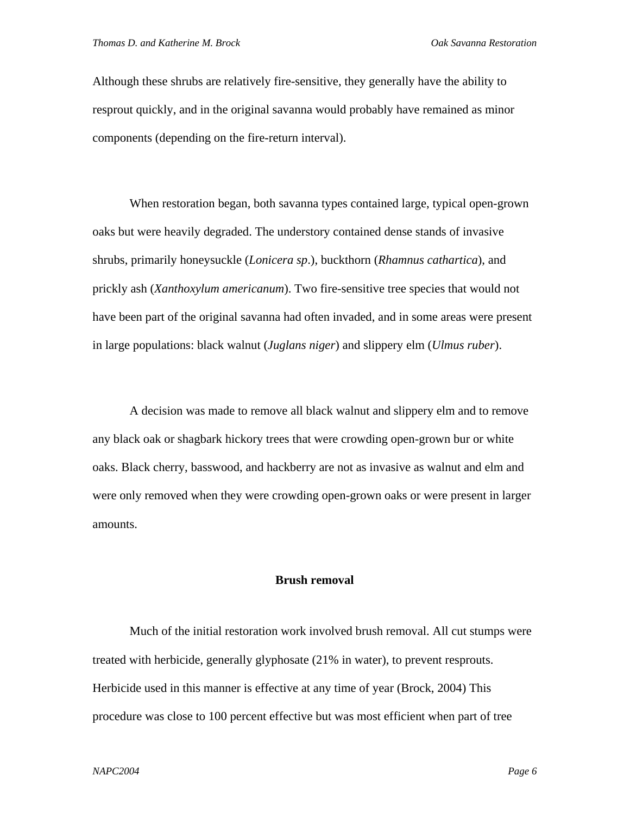Although these shrubs are relatively fire-sensitive, they generally have the ability to resprout quickly, and in the original savanna would probably have remained as minor components (depending on the fire-return interval).

When restoration began, both savanna types contained large, typical open-grown oaks but were heavily degraded. The understory contained dense stands of invasive shrubs, primarily honeysuckle (*Lonicera sp*.), buckthorn (*Rhamnus cathartica*), and prickly ash (*Xanthoxylum americanum*). Two fire-sensitive tree species that would not have been part of the original savanna had often invaded, and in some areas were present in large populations: black walnut (*Juglans niger*) and slippery elm (*Ulmus ruber*).

A decision was made to remove all black walnut and slippery elm and to remove any black oak or shagbark hickory trees that were crowding open-grown bur or white oaks. Black cherry, basswood, and hackberry are not as invasive as walnut and elm and were only removed when they were crowding open-grown oaks or were present in larger amounts.

#### **Brush removal**

Much of the initial restoration work involved brush removal. All cut stumps were treated with herbicide, generally glyphosate (21% in water), to prevent resprouts. Herbicide used in this manner is effective at any time of year (Brock, 2004) This procedure was close to 100 percent effective but was most efficient when part of tree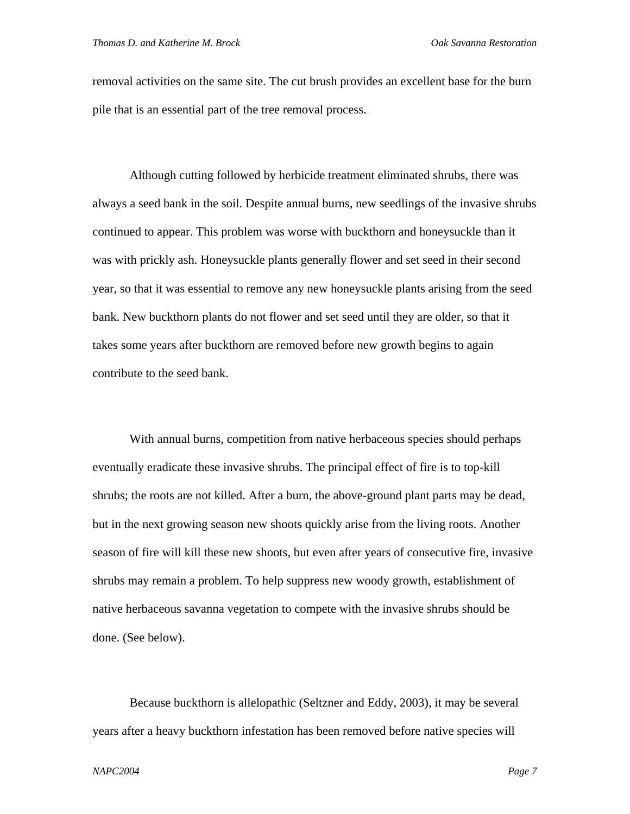removal activities on the same site. The cut brush provides an excellent base for the burn pile that is an essential part of the tree removal process.

Although cutting followed by herbicide treatment eliminated shrubs, there was always a seed bank in the soil. Despite annual burns, new seedlings of the invasive shrubs continued to appear. This problem was worse with buckthorn and honeysuckle than it was with prickly ash. Honeysuckle plants generally flower and set seed in their second year, so that it was essential to remove any new honeysuckle plants arising from the seed bank. New buckthorn plants do not flower and set seed until they are older, so that it takes some years after buckthorn are removed before new growth begins to again contribute to the seed bank.

With annual burns, competition from native herbaceous species should perhaps eventually eradicate these invasive shrubs. The principal effect of fire is to top-kill shrubs; the roots are not killed. After a burn, the above-ground plant parts may be dead, but in the next growing season new shoots quickly arise from the living roots. Another season of fire will kill these new shoots, but even after years of consecutive fire, invasive shrubs may remain a problem. To help suppress new woody growth, establishment of native herbaceous savanna vegetation to compete with the invasive shrubs should be done. (See below).

Because buckthorn is allelopathic (Seltzner and Eddy, 2003), it may be several years after a heavy buckthorn infestation has been removed before native species will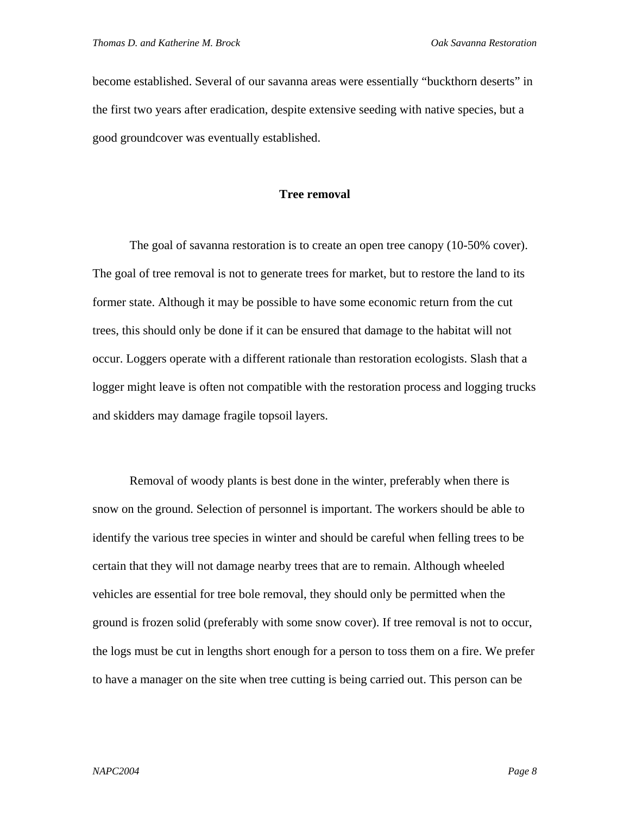become established. Several of our savanna areas were essentially "buckthorn deserts" in the first two years after eradication, despite extensive seeding with native species, but a good groundcover was eventually established.

### **Tree removal**

The goal of savanna restoration is to create an open tree canopy (10-50% cover). The goal of tree removal is not to generate trees for market, but to restore the land to its former state. Although it may be possible to have some economic return from the cut trees, this should only be done if it can be ensured that damage to the habitat will not occur. Loggers operate with a different rationale than restoration ecologists. Slash that a logger might leave is often not compatible with the restoration process and logging trucks and skidders may damage fragile topsoil layers.

Removal of woody plants is best done in the winter, preferably when there is snow on the ground. Selection of personnel is important. The workers should be able to identify the various tree species in winter and should be careful when felling trees to be certain that they will not damage nearby trees that are to remain. Although wheeled vehicles are essential for tree bole removal, they should only be permitted when the ground is frozen solid (preferably with some snow cover). If tree removal is not to occur, the logs must be cut in lengths short enough for a person to toss them on a fire. We prefer to have a manager on the site when tree cutting is being carried out. This person can be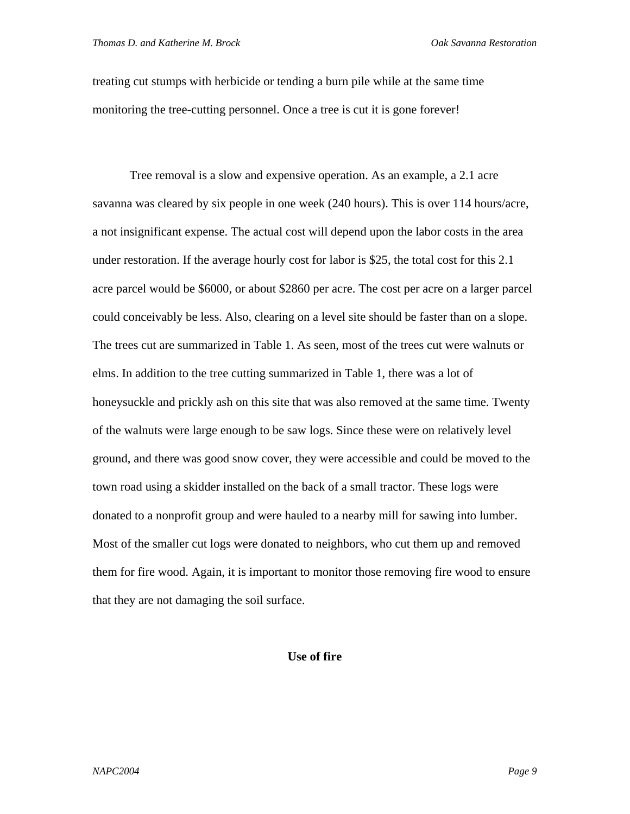treating cut stumps with herbicide or tending a burn pile while at the same time monitoring the tree-cutting personnel. Once a tree is cut it is gone forever!

Tree removal is a slow and expensive operation. As an example, a 2.1 acre savanna was cleared by six people in one week (240 hours). This is over 114 hours/acre, a not insignificant expense. The actual cost will depend upon the labor costs in the area under restoration. If the average hourly cost for labor is \$25, the total cost for this 2.1 acre parcel would be \$6000, or about \$2860 per acre. The cost per acre on a larger parcel could conceivably be less. Also, clearing on a level site should be faster than on a slope. The trees cut are summarized in Table 1. As seen, most of the trees cut were walnuts or elms. In addition to the tree cutting summarized in Table 1, there was a lot of honeysuckle and prickly ash on this site that was also removed at the same time. Twenty of the walnuts were large enough to be saw logs. Since these were on relatively level ground, and there was good snow cover, they were accessible and could be moved to the town road using a skidder installed on the back of a small tractor. These logs were donated to a nonprofit group and were hauled to a nearby mill for sawing into lumber. Most of the smaller cut logs were donated to neighbors, who cut them up and removed them for fire wood. Again, it is important to monitor those removing fire wood to ensure that they are not damaging the soil surface.

# **Use of fire**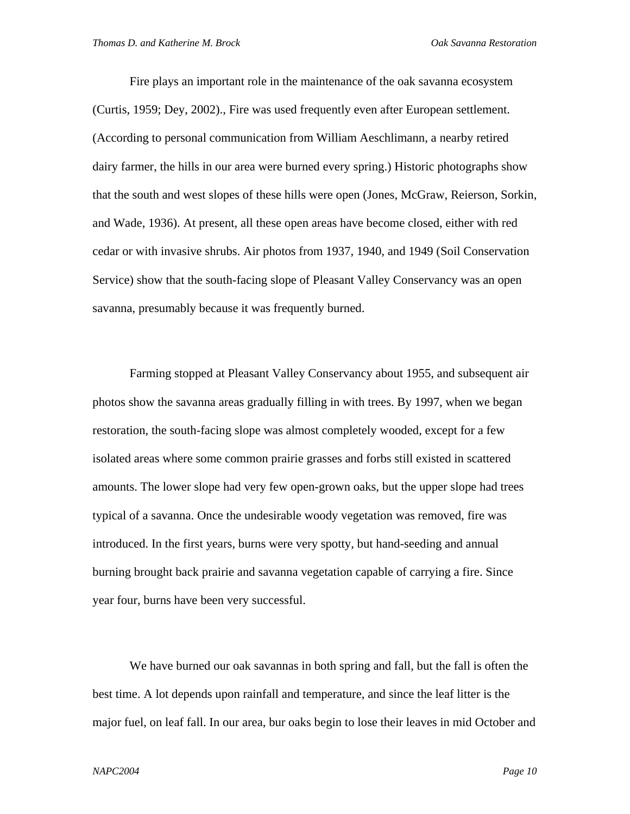Fire plays an important role in the maintenance of the oak savanna ecosystem (Curtis, 1959; Dey, 2002)., Fire was used frequently even after European settlement. (According to personal communication from William Aeschlimann, a nearby retired dairy farmer, the hills in our area were burned every spring.) Historic photographs show that the south and west slopes of these hills were open (Jones, McGraw, Reierson, Sorkin, and Wade, 1936). At present, all these open areas have become closed, either with red cedar or with invasive shrubs. Air photos from 1937, 1940, and 1949 (Soil Conservation Service) show that the south-facing slope of Pleasant Valley Conservancy was an open savanna, presumably because it was frequently burned.

Farming stopped at Pleasant Valley Conservancy about 1955, and subsequent air photos show the savanna areas gradually filling in with trees. By 1997, when we began restoration, the south-facing slope was almost completely wooded, except for a few isolated areas where some common prairie grasses and forbs still existed in scattered amounts. The lower slope had very few open-grown oaks, but the upper slope had trees typical of a savanna. Once the undesirable woody vegetation was removed, fire was introduced. In the first years, burns were very spotty, but hand-seeding and annual burning brought back prairie and savanna vegetation capable of carrying a fire. Since year four, burns have been very successful.

We have burned our oak savannas in both spring and fall, but the fall is often the best time. A lot depends upon rainfall and temperature, and since the leaf litter is the major fuel, on leaf fall. In our area, bur oaks begin to lose their leaves in mid October and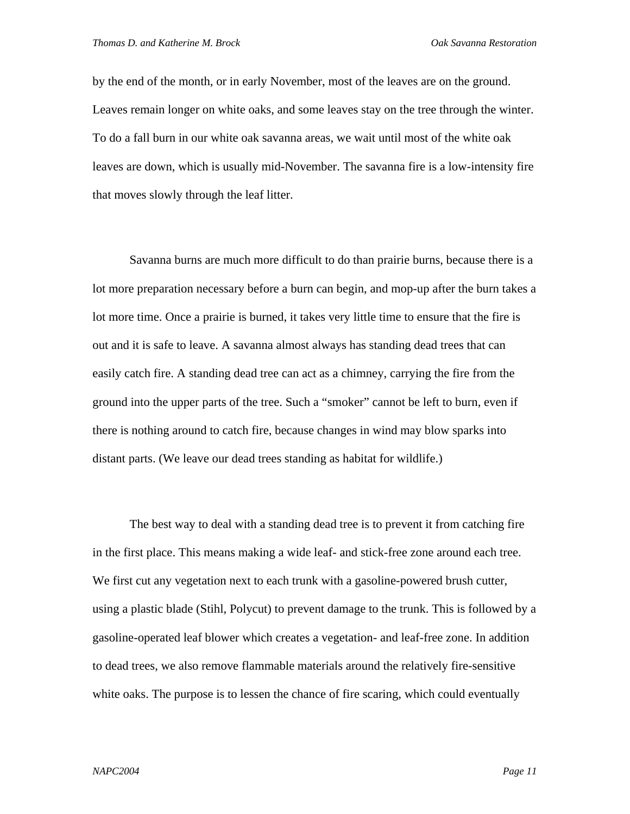by the end of the month, or in early November, most of the leaves are on the ground. Leaves remain longer on white oaks, and some leaves stay on the tree through the winter. To do a fall burn in our white oak savanna areas, we wait until most of the white oak leaves are down, which is usually mid-November. The savanna fire is a low-intensity fire that moves slowly through the leaf litter.

Savanna burns are much more difficult to do than prairie burns, because there is a lot more preparation necessary before a burn can begin, and mop-up after the burn takes a lot more time. Once a prairie is burned, it takes very little time to ensure that the fire is out and it is safe to leave. A savanna almost always has standing dead trees that can easily catch fire. A standing dead tree can act as a chimney, carrying the fire from the ground into the upper parts of the tree. Such a "smoker" cannot be left to burn, even if there is nothing around to catch fire, because changes in wind may blow sparks into distant parts. (We leave our dead trees standing as habitat for wildlife.)

The best way to deal with a standing dead tree is to prevent it from catching fire in the first place. This means making a wide leaf- and stick-free zone around each tree. We first cut any vegetation next to each trunk with a gasoline-powered brush cutter, using a plastic blade (Stihl, Polycut) to prevent damage to the trunk. This is followed by a gasoline-operated leaf blower which creates a vegetation- and leaf-free zone. In addition to dead trees, we also remove flammable materials around the relatively fire-sensitive white oaks. The purpose is to lessen the chance of fire scaring, which could eventually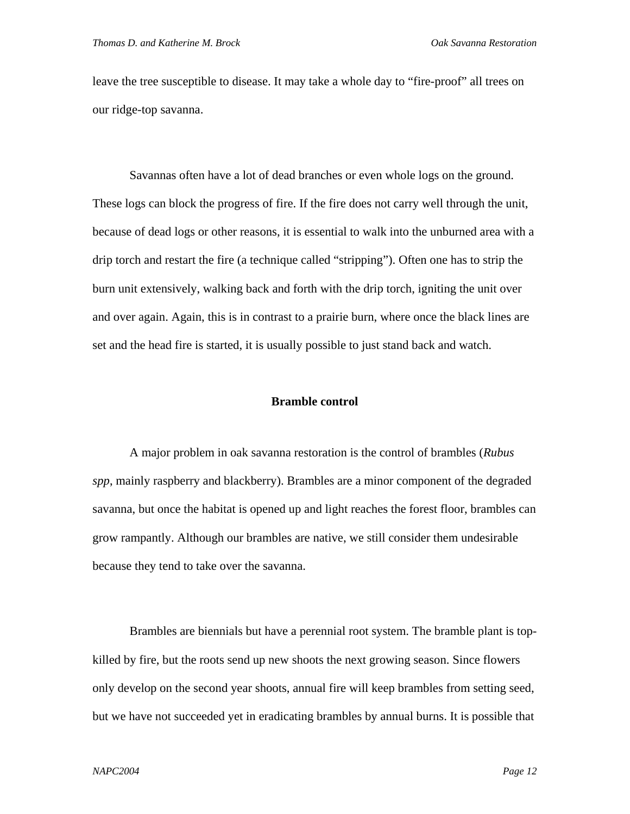leave the tree susceptible to disease. It may take a whole day to "fire-proof" all trees on our ridge-top savanna.

Savannas often have a lot of dead branches or even whole logs on the ground. These logs can block the progress of fire. If the fire does not carry well through the unit, because of dead logs or other reasons, it is essential to walk into the unburned area with a drip torch and restart the fire (a technique called "stripping"). Often one has to strip the burn unit extensively, walking back and forth with the drip torch, igniting the unit over and over again. Again, this is in contrast to a prairie burn, where once the black lines are set and the head fire is started, it is usually possible to just stand back and watch.

## **Bramble control**

A major problem in oak savanna restoration is the control of brambles (*Rubus spp*, mainly raspberry and blackberry). Brambles are a minor component of the degraded savanna, but once the habitat is opened up and light reaches the forest floor, brambles can grow rampantly. Although our brambles are native, we still consider them undesirable because they tend to take over the savanna.

Brambles are biennials but have a perennial root system. The bramble plant is topkilled by fire, but the roots send up new shoots the next growing season. Since flowers only develop on the second year shoots, annual fire will keep brambles from setting seed, but we have not succeeded yet in eradicating brambles by annual burns. It is possible that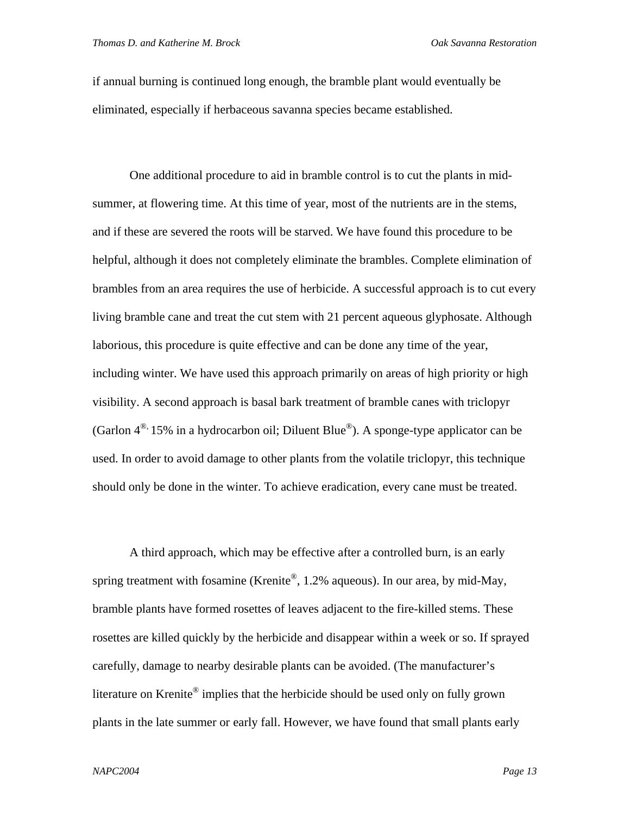if annual burning is continued long enough, the bramble plant would eventually be eliminated, especially if herbaceous savanna species became established.

One additional procedure to aid in bramble control is to cut the plants in midsummer, at flowering time. At this time of year, most of the nutrients are in the stems, and if these are severed the roots will be starved. We have found this procedure to be helpful, although it does not completely eliminate the brambles. Complete elimination of brambles from an area requires the use of herbicide. A successful approach is to cut every living bramble cane and treat the cut stem with 21 percent aqueous glyphosate. Although laborious, this procedure is quite effective and can be done any time of the year, including winter. We have used this approach primarily on areas of high priority or high visibility. A second approach is basal bark treatment of bramble canes with triclopyr (Garlon  $4^{\circledR}$ , 15% in a hydrocarbon oil; Diluent Blue<sup>\off{0}</sup>). A sponge-type applicator can be used. In order to avoid damage to other plants from the volatile triclopyr, this technique should only be done in the winter. To achieve eradication, every cane must be treated.

A third approach, which may be effective after a controlled burn, is an early spring treatment with fosamine (Krenite®, 1.2% aqueous). In our area, by mid-May, bramble plants have formed rosettes of leaves adjacent to the fire-killed stems. These rosettes are killed quickly by the herbicide and disappear within a week or so. If sprayed carefully, damage to nearby desirable plants can be avoided. (The manufacturer's literature on Krenite<sup>®</sup> implies that the herbicide should be used only on fully grown plants in the late summer or early fall. However, we have found that small plants early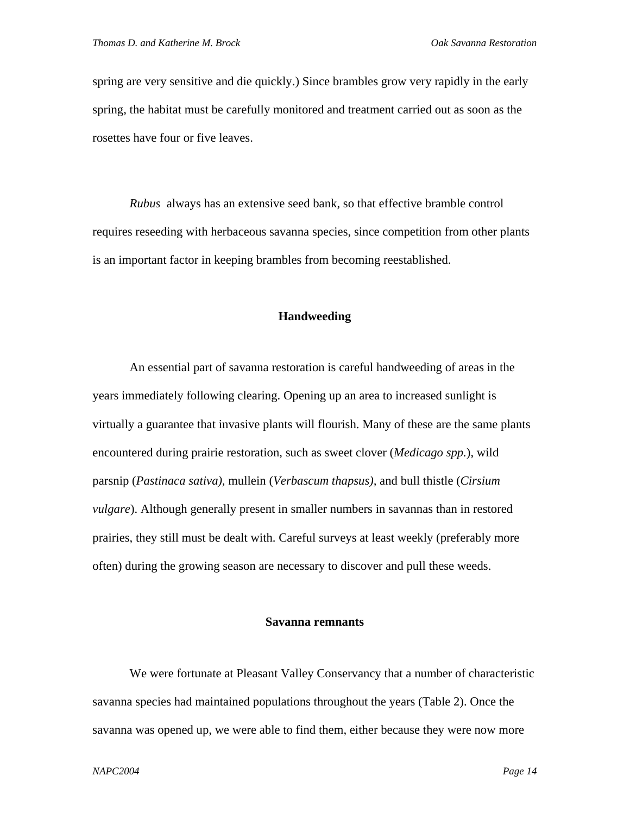spring are very sensitive and die quickly.) Since brambles grow very rapidly in the early spring, the habitat must be carefully monitored and treatment carried out as soon as the rosettes have four or five leaves.

*Rubus* always has an extensive seed bank, so that effective bramble control requires reseeding with herbaceous savanna species, since competition from other plants is an important factor in keeping brambles from becoming reestablished.

## **Handweeding**

An essential part of savanna restoration is careful handweeding of areas in the years immediately following clearing. Opening up an area to increased sunlight is virtually a guarantee that invasive plants will flourish. Many of these are the same plants encountered during prairie restoration, such as sweet clover (*Medicago spp.*), wild parsnip (*Pastinaca sativa)*, mullein (*Verbascum thapsus),* and bull thistle (*Cirsium vulgare*). Although generally present in smaller numbers in savannas than in restored prairies, they still must be dealt with. Careful surveys at least weekly (preferably more often) during the growing season are necessary to discover and pull these weeds.

### **Savanna remnants**

We were fortunate at Pleasant Valley Conservancy that a number of characteristic savanna species had maintained populations throughout the years (Table 2). Once the savanna was opened up, we were able to find them, either because they were now more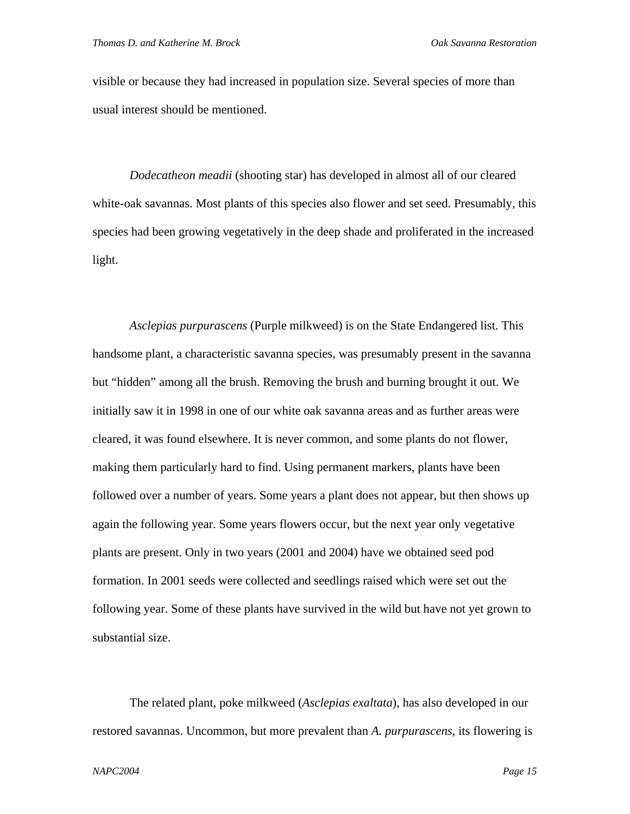visible or because they had increased in population size. Several species of more than usual interest should be mentioned.

*Dodecatheon meadii* (shooting star) has developed in almost all of our cleared white-oak savannas. Most plants of this species also flower and set seed. Presumably, this species had been growing vegetatively in the deep shade and proliferated in the increased light.

*Asclepias purpurascens* (Purple milkweed) is on the State Endangered list. This handsome plant, a characteristic savanna species, was presumably present in the savanna but "hidden" among all the brush. Removing the brush and burning brought it out. We initially saw it in 1998 in one of our white oak savanna areas and as further areas were cleared, it was found elsewhere. It is never common, and some plants do not flower, making them particularly hard to find. Using permanent markers, plants have been followed over a number of years. Some years a plant does not appear, but then shows up again the following year. Some years flowers occur, but the next year only vegetative plants are present. Only in two years (2001 and 2004) have we obtained seed pod formation. In 2001 seeds were collected and seedlings raised which were set out the following year. Some of these plants have survived in the wild but have not yet grown to substantial size.

The related plant, poke milkweed (*Asclepias exaltata*), has also developed in our restored savannas. Uncommon, but more prevalent than *A. purpurascens*, its flowering is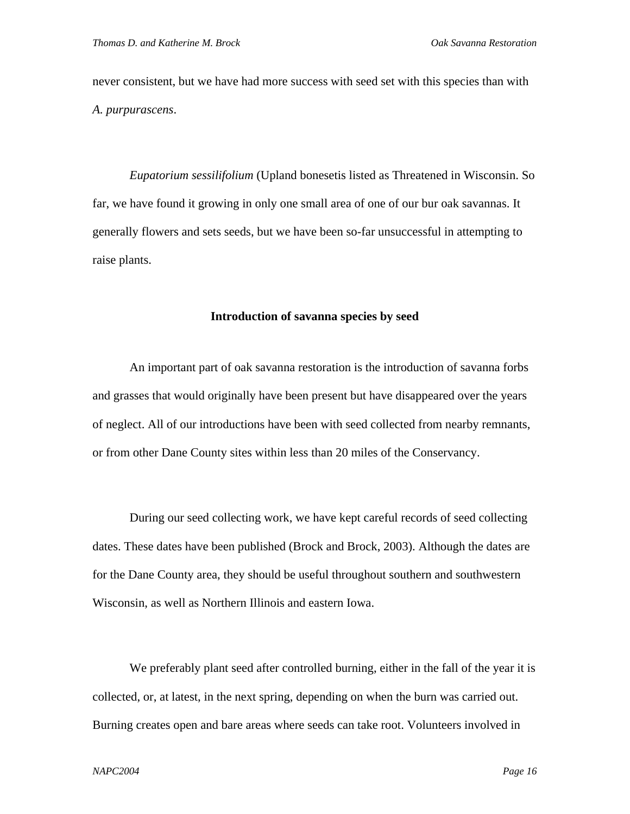never consistent, but we have had more success with seed set with this species than with *A. purpurascens*.

*Eupatorium sessilifolium* (Upland bonesetis listed as Threatened in Wisconsin. So far, we have found it growing in only one small area of one of our bur oak savannas. It generally flowers and sets seeds, but we have been so-far unsuccessful in attempting to raise plants.

### **Introduction of savanna species by seed**

An important part of oak savanna restoration is the introduction of savanna forbs and grasses that would originally have been present but have disappeared over the years of neglect. All of our introductions have been with seed collected from nearby remnants, or from other Dane County sites within less than 20 miles of the Conservancy.

During our seed collecting work, we have kept careful records of seed collecting dates. These dates have been published (Brock and Brock, 2003). Although the dates are for the Dane County area, they should be useful throughout southern and southwestern Wisconsin, as well as Northern Illinois and eastern Iowa.

We preferably plant seed after controlled burning, either in the fall of the year it is collected, or, at latest, in the next spring, depending on when the burn was carried out. Burning creates open and bare areas where seeds can take root. Volunteers involved in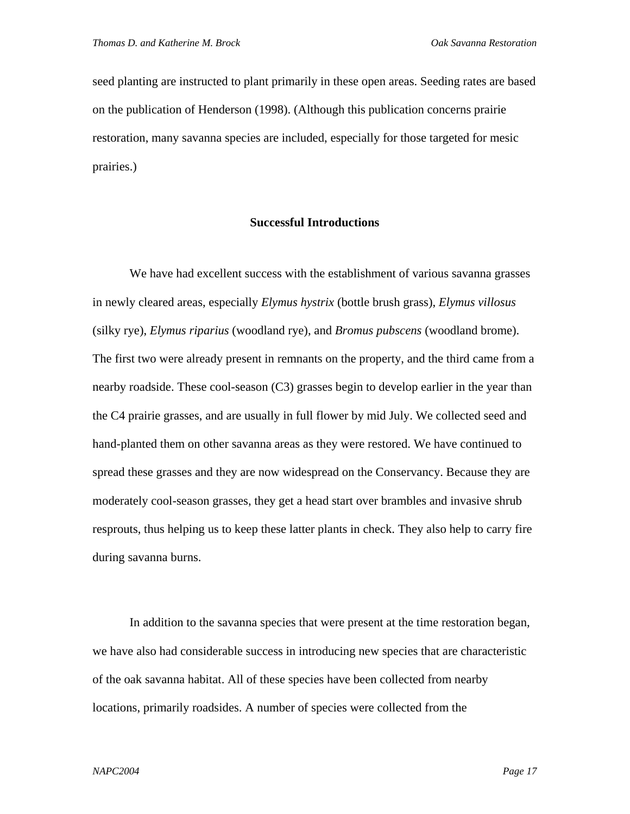seed planting are instructed to plant primarily in these open areas. Seeding rates are based on the publication of Henderson (1998). (Although this publication concerns prairie restoration, many savanna species are included, especially for those targeted for mesic prairies.)

## **Successful Introductions**

We have had excellent success with the establishment of various savanna grasses in newly cleared areas, especially *Elymus hystrix* (bottle brush grass), *Elymus villosus*  (silky rye), *Elymus riparius* (woodland rye), and *Bromus pubscens* (woodland brome). The first two were already present in remnants on the property, and the third came from a nearby roadside. These cool-season (C3) grasses begin to develop earlier in the year than the C4 prairie grasses, and are usually in full flower by mid July. We collected seed and hand-planted them on other savanna areas as they were restored. We have continued to spread these grasses and they are now widespread on the Conservancy. Because they are moderately cool-season grasses, they get a head start over brambles and invasive shrub resprouts, thus helping us to keep these latter plants in check. They also help to carry fire during savanna burns.

In addition to the savanna species that were present at the time restoration began, we have also had considerable success in introducing new species that are characteristic of the oak savanna habitat. All of these species have been collected from nearby locations, primarily roadsides. A number of species were collected from the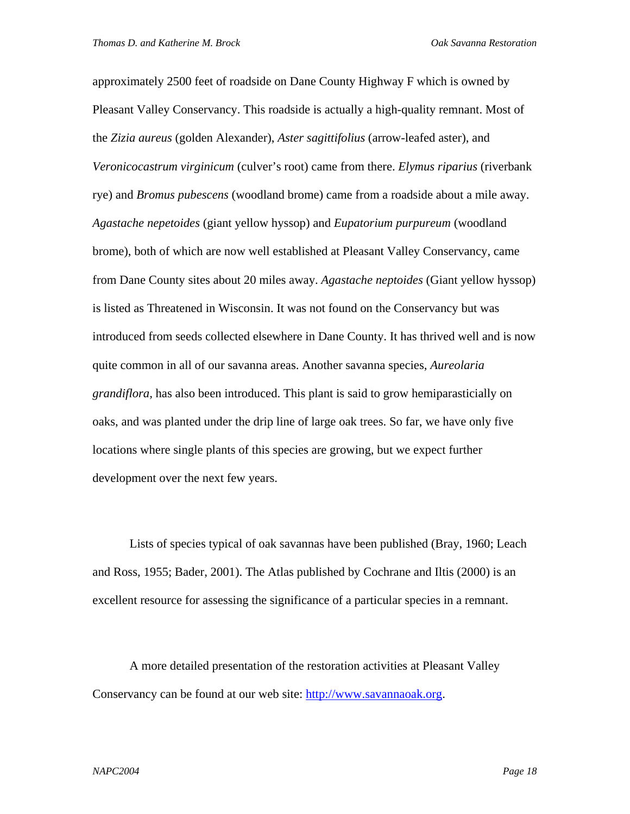approximately 2500 feet of roadside on Dane County Highway F which is owned by Pleasant Valley Conservancy. This roadside is actually a high-quality remnant. Most of the *Zizia aureus* (golden Alexander), *Aster sagittifolius* (arrow-leafed aster), and *Veronicocastrum virginicum* (culver's root) came from there. *Elymus riparius* (riverbank rye) and *Bromus pubescens* (woodland brome) came from a roadside about a mile away. *Agastache nepetoides* (giant yellow hyssop) and *Eupatorium purpureum* (woodland brome), both of which are now well established at Pleasant Valley Conservancy, came from Dane County sites about 20 miles away. *Agastache neptoides* (Giant yellow hyssop) is listed as Threatened in Wisconsin. It was not found on the Conservancy but was introduced from seeds collected elsewhere in Dane County. It has thrived well and is now quite common in all of our savanna areas. Another savanna species, *Aureolaria grandiflora,* has also been introduced. This plant is said to grow hemiparasticially on oaks, and was planted under the drip line of large oak trees. So far, we have only five locations where single plants of this species are growing, but we expect further development over the next few years.

Lists of species typical of oak savannas have been published (Bray, 1960; Leach and Ross, 1955; Bader, 2001). The Atlas published by Cochrane and Iltis (2000) is an excellent resource for assessing the significance of a particular species in a remnant.

A more detailed presentation of the restoration activities at Pleasant Valley Conservancy can be found at our web site: http://www.savannaoak.org.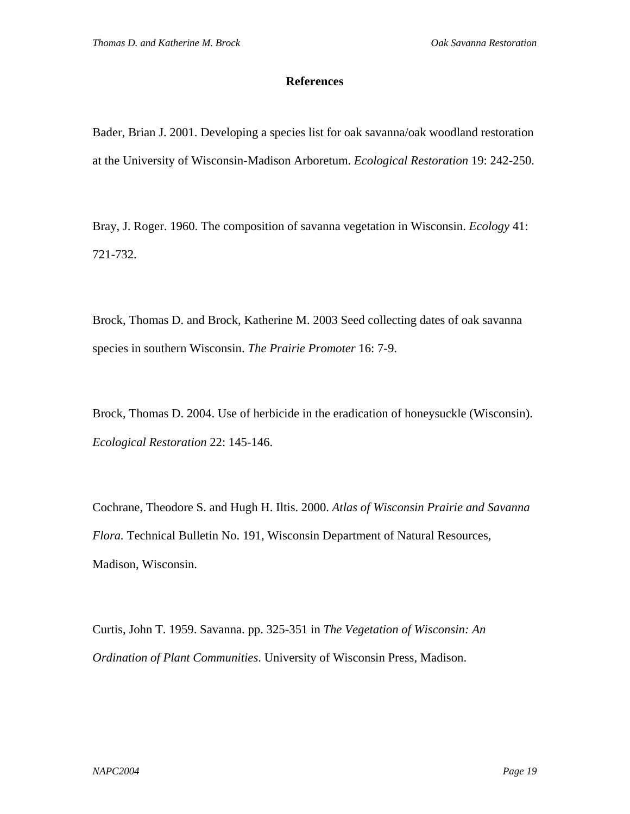## **References**

Bader, Brian J. 2001. Developing a species list for oak savanna/oak woodland restoration at the University of Wisconsin-Madison Arboretum. *Ecological Restoration* 19: 242-250.

Bray, J. Roger. 1960. The composition of savanna vegetation in Wisconsin. *Ecology* 41: 721-732.

Brock, Thomas D. and Brock, Katherine M. 2003 Seed collecting dates of oak savanna species in southern Wisconsin. *The Prairie Promoter* 16: 7-9.

Brock, Thomas D. 2004. Use of herbicide in the eradication of honeysuckle (Wisconsin). *Ecological Restoration* 22: 145-146.

Cochrane, Theodore S. and Hugh H. Iltis. 2000. *Atlas of Wisconsin Prairie and Savanna Flora.* Technical Bulletin No. 191, Wisconsin Department of Natural Resources, Madison, Wisconsin.

Curtis, John T. 1959. Savanna. pp. 325-351 in *The Vegetation of Wisconsin: An Ordination of Plant Communities*. University of Wisconsin Press, Madison.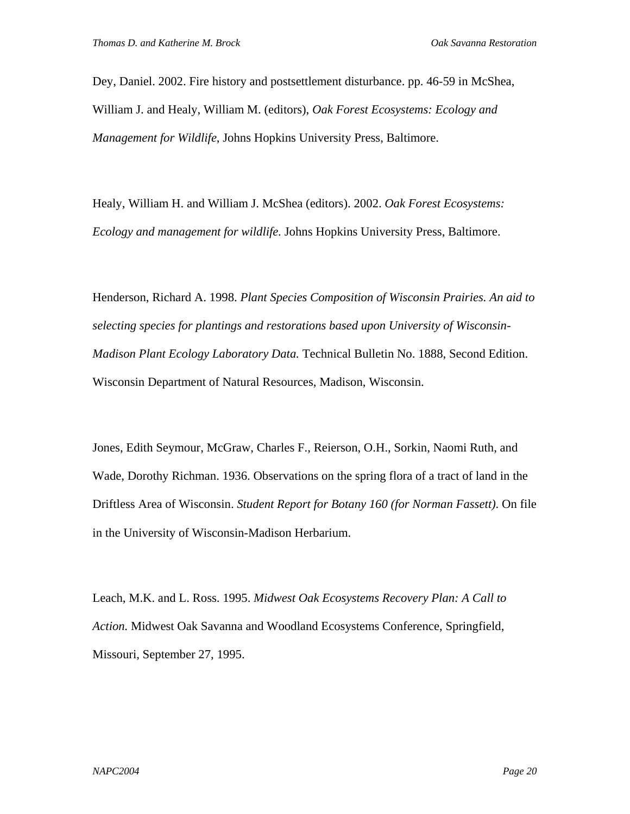Dey, Daniel. 2002. Fire history and postsettlement disturbance. pp. 46-59 in McShea, William J. and Healy, William M. (editors), *Oak Forest Ecosystems: Ecology and Management for Wildlife*, Johns Hopkins University Press, Baltimore.

Healy, William H. and William J. McShea (editors). 2002. *Oak Forest Ecosystems: Ecology and management for wildlife.* Johns Hopkins University Press, Baltimore.

Henderson, Richard A. 1998. *Plant Species Composition of Wisconsin Prairies. An aid to selecting species for plantings and restorations based upon University of Wisconsin-Madison Plant Ecology Laboratory Data.* Technical Bulletin No. 1888, Second Edition. Wisconsin Department of Natural Resources, Madison, Wisconsin.

Jones, Edith Seymour, McGraw, Charles F., Reierson, O.H., Sorkin, Naomi Ruth, and Wade, Dorothy Richman. 1936. Observations on the spring flora of a tract of land in the Driftless Area of Wisconsin. *Student Report for Botany 160 (for Norman Fassett)*. On file in the University of Wisconsin-Madison Herbarium.

Leach, M.K. and L. Ross. 1995. *Midwest Oak Ecosystems Recovery Plan: A Call to Action.* Midwest Oak Savanna and Woodland Ecosystems Conference, Springfield, Missouri, September 27, 1995.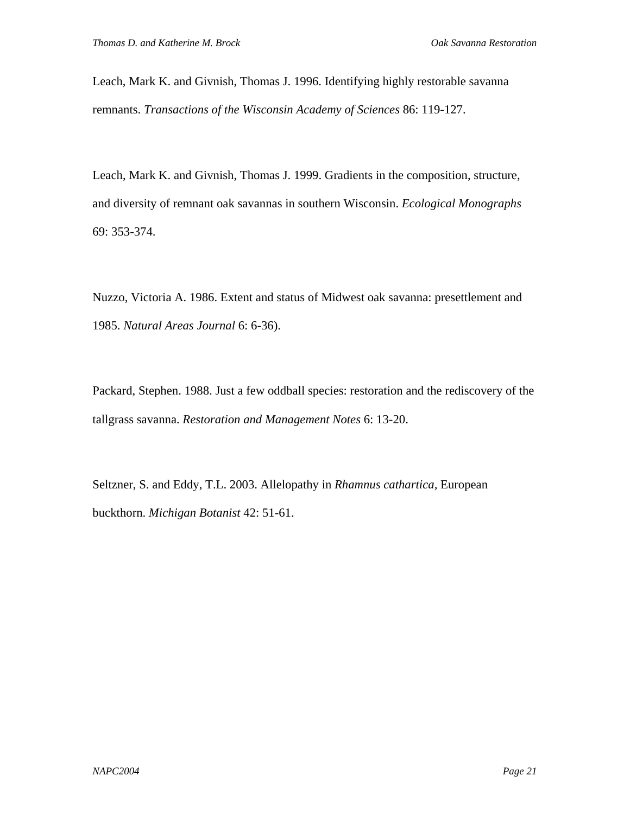Leach, Mark K. and Givnish, Thomas J. 1996. Identifying highly restorable savanna remnants. *Transactions of the Wisconsin Academy of Sciences* 86: 119-127.

Leach, Mark K. and Givnish, Thomas J. 1999. Gradients in the composition, structure, and diversity of remnant oak savannas in southern Wisconsin. *Ecological Monographs* 69: 353-374.

Nuzzo, Victoria A. 1986. Extent and status of Midwest oak savanna: presettlement and 1985. *Natural Areas Journal* 6: 6-36).

Packard, Stephen. 1988. Just a few oddball species: restoration and the rediscovery of the tallgrass savanna. *Restoration and Management Notes* 6: 13-20.

Seltzner, S. and Eddy, T.L. 2003. Allelopathy in *Rhamnus cathartica,* European buckthorn. *Michigan Botanist* 42: 51-61.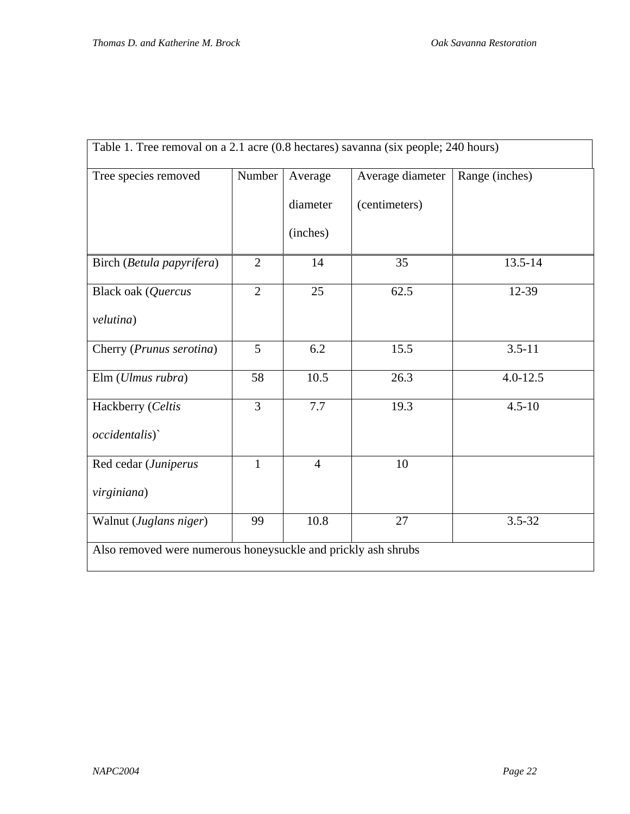| Table 1. Tree removal on a 2.1 acre (0.8 hectares) savanna (six people; 240 hours) |                |                |                  |                |
|------------------------------------------------------------------------------------|----------------|----------------|------------------|----------------|
| Tree species removed                                                               | Number         | Average        | Average diameter | Range (inches) |
|                                                                                    |                | diameter       | (centimeters)    |                |
|                                                                                    |                | (inches)       |                  |                |
| Birch (Betula papyrifera)                                                          | $\overline{2}$ | 14             | 35               | 13.5-14        |
| Black oak (Quercus                                                                 | $\overline{2}$ | 25             | 62.5             | 12-39          |
| velutina)                                                                          |                |                |                  |                |
| Cherry (Prunus serotina)                                                           | 5              | 6.2            | 15.5             | $3.5 - 11$     |
| Elm (Ulmus rubra)                                                                  | 58             | 10.5           | 26.3             | $4.0 - 12.5$   |
| Hackberry (Celtis                                                                  | $\overline{3}$ | 7.7            | 19.3             | $4.5 - 10$     |
| <i>occidentalis</i> )                                                              |                |                |                  |                |
| Red cedar (Juniperus                                                               | $\mathbf{1}$   | $\overline{4}$ | 10               |                |
| virginiana)                                                                        |                |                |                  |                |
| Walnut (Juglans niger)                                                             | 99             | 10.8           | 27               | $3.5 - 32$     |
| Also removed were numerous honeysuckle and prickly ash shrubs                      |                |                |                  |                |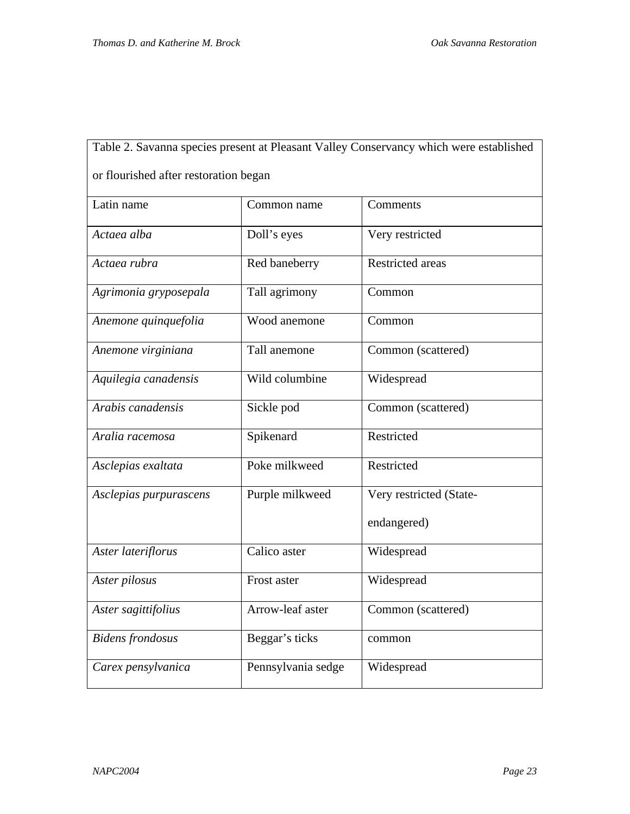| Table 2. Savanna species present at Pleasant Valley Conservancy which were established |                    |                         |  |  |
|----------------------------------------------------------------------------------------|--------------------|-------------------------|--|--|
| or flourished after restoration began                                                  |                    |                         |  |  |
| Latin name                                                                             | Common name        | Comments                |  |  |
| Actaea alba                                                                            | Doll's eyes        | Very restricted         |  |  |
| Actaea rubra                                                                           | Red baneberry      | Restricted areas        |  |  |
| Agrimonia gryposepala                                                                  | Tall agrimony      | Common                  |  |  |
| Anemone quinquefolia                                                                   | Wood anemone       | Common                  |  |  |
| Anemone virginiana                                                                     | Tall anemone       | Common (scattered)      |  |  |
| Aquilegia canadensis                                                                   | Wild columbine     | Widespread              |  |  |
| Arabis canadensis                                                                      | Sickle pod         | Common (scattered)      |  |  |
| Aralia racemosa                                                                        | Spikenard          | Restricted              |  |  |
| Asclepias exaltata                                                                     | Poke milkweed      | Restricted              |  |  |
| Asclepias purpurascens                                                                 | Purple milkweed    | Very restricted (State- |  |  |
|                                                                                        |                    | endangered)             |  |  |
| Aster lateriflorus                                                                     | Calico aster       | Widespread              |  |  |
| Aster pilosus                                                                          | Frost aster        | Widespread              |  |  |
| Aster sagittifolius                                                                    | Arrow-leaf aster   | Common (scattered)      |  |  |
| <b>Bidens</b> frondosus                                                                | Beggar's ticks     | common                  |  |  |
| Carex pensylvanica                                                                     | Pennsylvania sedge | Widespread              |  |  |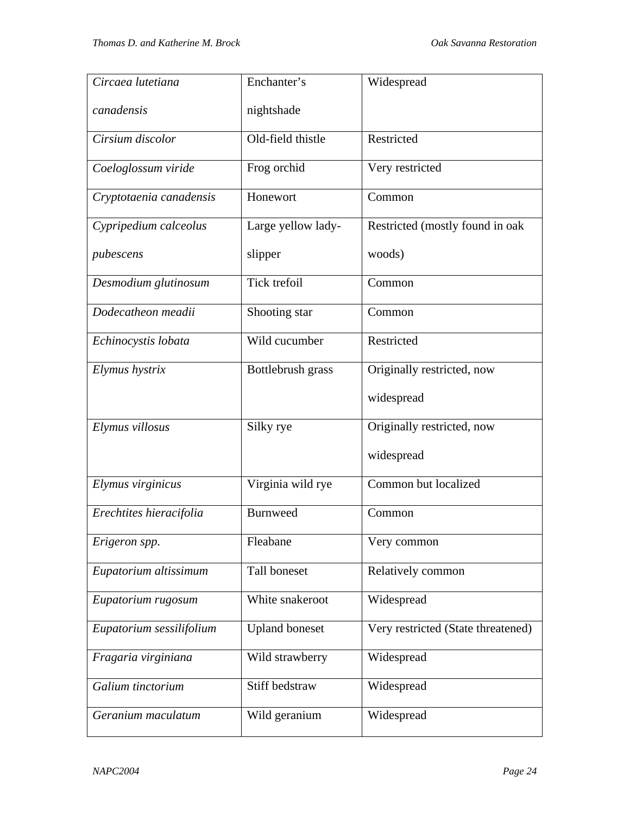| Circaea lutetiana        | Enchanter's           | Widespread                         |
|--------------------------|-----------------------|------------------------------------|
| canadensis               | nightshade            |                                    |
| Cirsium discolor         | Old-field thistle     | Restricted                         |
| Coeloglossum viride      | Frog orchid           | Very restricted                    |
| Cryptotaenia canadensis  | Honewort              | Common                             |
| Cypripedium calceolus    | Large yellow lady-    | Restricted (mostly found in oak    |
| pubescens                | slipper               | woods)                             |
| Desmodium glutinosum     | Tick trefoil          | Common                             |
| Dodecatheon meadii       | Shooting star         | Common                             |
| Echinocystis lobata      | Wild cucumber         | Restricted                         |
| Elymus hystrix           | Bottlebrush grass     | Originally restricted, now         |
|                          |                       | widespread                         |
| Elymus villosus          | Silky rye             | Originally restricted, now         |
|                          |                       | widespread                         |
| Elymus virginicus        | Virginia wild rye     | Common but localized               |
| Erechtites hieracifolia  | <b>Burnweed</b>       | Common                             |
| Erigeron spp.            | Fleabane              | Very common                        |
| Eupatorium altissimum    | Tall boneset          | Relatively common                  |
| Eupatorium rugosum       | White snakeroot       | Widespread                         |
| Eupatorium sessilifolium | <b>Upland boneset</b> | Very restricted (State threatened) |
| Fragaria virginiana      | Wild strawberry       | Widespread                         |
| Galium tinctorium        | Stiff bedstraw        | Widespread                         |
| Geranium maculatum       | Wild geranium         | Widespread                         |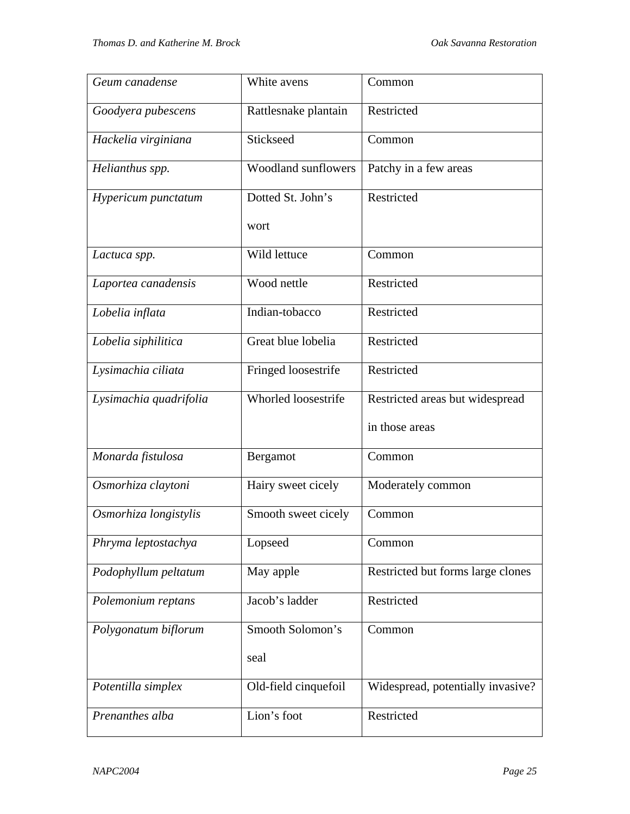| Geum canadense                 | White avens                | Common                            |
|--------------------------------|----------------------------|-----------------------------------|
| Goodyera pubescens             | Rattlesnake plantain       | Restricted                        |
| Hackelia virginiana            | Stickseed                  | Common                            |
| Helianthus spp.                | <b>Woodland sunflowers</b> | Patchy in a few areas             |
| Hypericum punctatum            | Dotted St. John's          | Restricted                        |
|                                | wort                       |                                   |
| Lactuca spp.                   | Wild lettuce               | Common                            |
| Laportea canadensis            | Wood nettle                | Restricted                        |
| Lobelia inflata                | Indian-tobacco             | Restricted                        |
| Lobelia siphilitica            | Great blue lobelia         | Restricted                        |
| Lysimachia ciliata             | Fringed loosestrife        | Restricted                        |
| Lysimachia quadrifolia         | Whorled loosestrife        | Restricted areas but widespread   |
|                                |                            | in those areas                    |
| Monarda fistulosa              | Bergamot                   | Common                            |
| Osmorhiza claytoni             | Hairy sweet cicely         | Moderately common                 |
| Osmorhiza longistylis          | Smooth sweet cicely        | Common                            |
| Phryma leptostachya            | Lopseed                    | Common                            |
| Podophyllum peltatum           | May apple                  | Restricted but forms large clones |
| Polemonium reptans             | Jacob's ladder             | Restricted                        |
| Polygonatum biflorum           | Smooth Solomon's           | Common                            |
|                                | seal                       |                                   |
| Potentilla simplex             | Old-field cinquefoil       | Widespread, potentially invasive? |
| Lion's foot<br>Prenanthes alba |                            | Restricted                        |